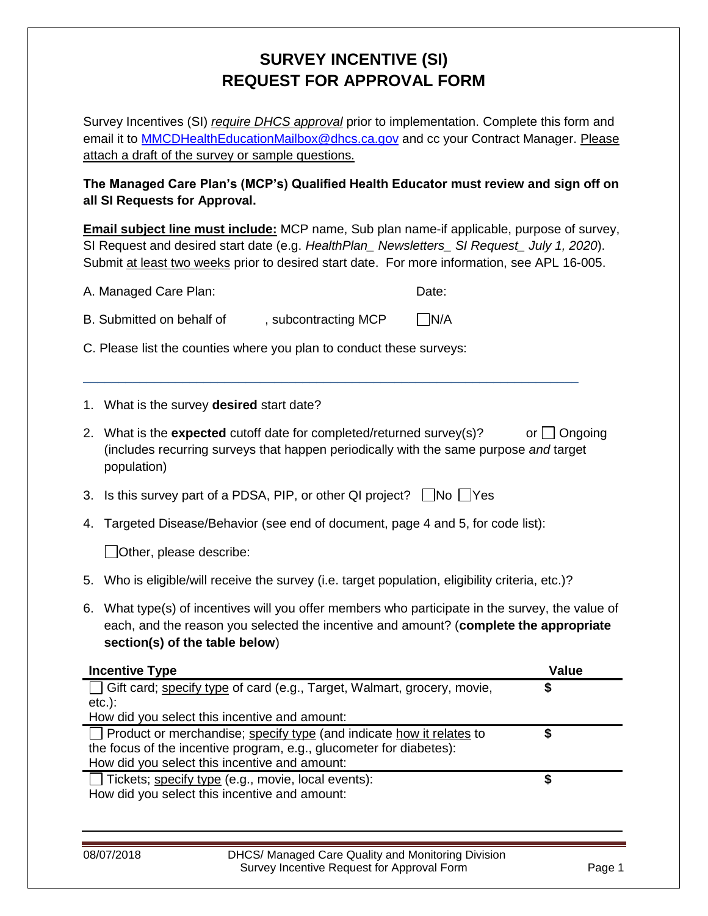## **SURVEY INCENTIVE (SI) REQUEST FOR APPROVAL FORM**

Survey Incentives (SI) *require DHCS approval* prior to implementation. Complete this form and email it to **MMCDHealthEducationMailbox@dhcs.ca.gov** and cc your Contract Manager. Please attach a draft of the survey or sample questions.

**The Managed Care Plan's (MCP's) Qualified Health Educator must review and sign off on all SI Requests for Approval.**

**Email subject line must include:** MCP name, Sub plan name-if applicable, purpose of survey, SI Request and desired start date (e.g. *HealthPlan\_ Newsletters\_ SI Request\_ July 1, 2020*). Submit at least two weeks prior to desired start date. For more information, see APL 16-005.

| A. Managed Care Plan:                                                |                                                                                                                                                                                                                             | Date:      |  |  |
|----------------------------------------------------------------------|-----------------------------------------------------------------------------------------------------------------------------------------------------------------------------------------------------------------------------|------------|--|--|
| B. Submitted on behalf of<br>, subcontracting MCP                    |                                                                                                                                                                                                                             | $\neg N/A$ |  |  |
| C. Please list the counties where you plan to conduct these surveys: |                                                                                                                                                                                                                             |            |  |  |
| 1.                                                                   | What is the survey <b>desired</b> start date?                                                                                                                                                                               |            |  |  |
|                                                                      | 2. What is the <b>expected</b> cutoff date for completed/returned survey(s)?<br>or $\Box$ Ongoing<br>(includes recurring surveys that happen periodically with the same purpose and target<br>population)                   |            |  |  |
|                                                                      | 3. Is this survey part of a PDSA, PIP, or other QI project? $\Box$ No $\Box$ Yes                                                                                                                                            |            |  |  |
| 4.                                                                   | Targeted Disease/Behavior (see end of document, page 4 and 5, for code list):                                                                                                                                               |            |  |  |
|                                                                      | Other, please describe:                                                                                                                                                                                                     |            |  |  |
| 5.                                                                   | Who is eligible/will receive the survey (i.e. target population, eligibility criteria, etc.)?                                                                                                                               |            |  |  |
|                                                                      | 6. What type(s) of incentives will you offer members who participate in the survey, the value of<br>each, and the reason you selected the incentive and amount? (complete the appropriate<br>section(s) of the table below) |            |  |  |
| <b>Value</b><br><b>Incentive Type</b>                                |                                                                                                                                                                                                                             |            |  |  |

| Incentive Type                                                              | value |
|-----------------------------------------------------------------------------|-------|
| Gift card; specify type of card (e.g., Target, Walmart, grocery, movie,     |       |
| $etc.$ ):                                                                   |       |
| How did you select this incentive and amount:                               |       |
| $\Box$ Product or merchandise; specify type (and indicate how it relates to |       |
| the focus of the incentive program, e.g., glucometer for diabetes):         |       |
| How did you select this incentive and amount:                               |       |
| Tickets; specify type (e.g., movie, local events):                          |       |
| How did you select this incentive and amount:                               |       |
|                                                                             |       |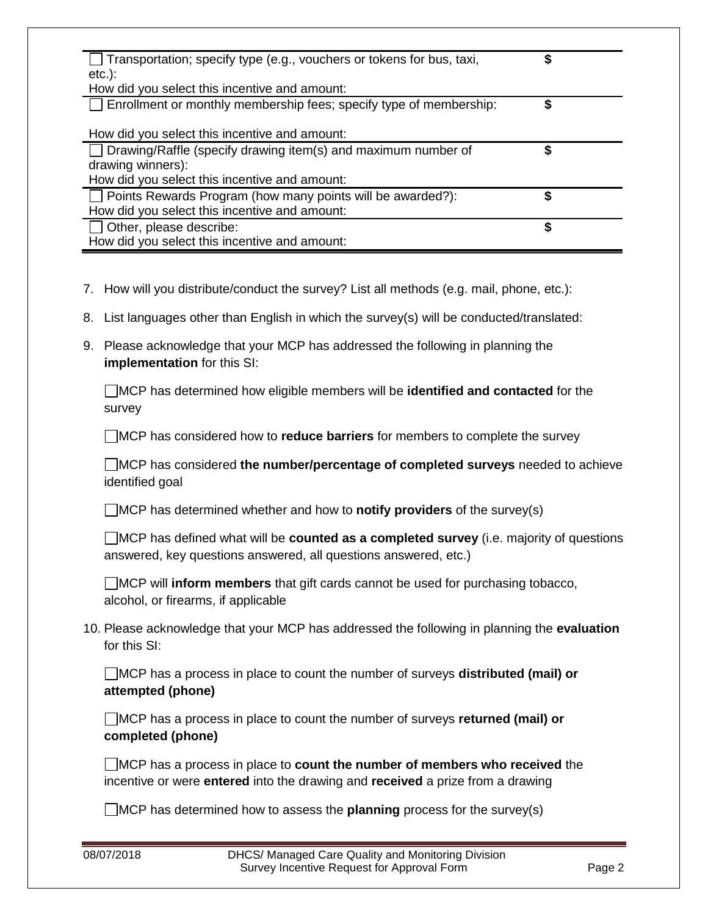| Transportation; specify type (e.g., vouchers or tokens for bus, taxi,<br>$etc.$ : | \$ |
|-----------------------------------------------------------------------------------|----|
| How did you select this incentive and amount:                                     |    |
| Enrollment or monthly membership fees; specify type of membership:                | S  |
| How did you select this incentive and amount:                                     |    |
| Drawing/Raffle (specify drawing item(s) and maximum number of                     | S  |
| drawing winners):                                                                 |    |
| How did you select this incentive and amount:                                     |    |
| Points Rewards Program (how many points will be awarded?):                        | S  |
| How did you select this incentive and amount:                                     |    |
| Other, please describe:                                                           | \$ |
| How did you select this incentive and amount:                                     |    |

- 7. How will you distribute/conduct the survey? List all methods (e.g. mail, phone, etc.):
- 8. List languages other than English in which the survey(s) will be conducted/translated:
- 9. Please acknowledge that your MCP has addressed the following in planning the **implementation** for this SI:

MCP has determined how eligible members will be **identified and contacted** for the survey

MCP has considered how to **reduce barriers** for members to complete the survey

MCP has considered **the number/percentage of completed surveys** needed to achieve identified goal

MCP has determined whether and how to **notify providers** of the survey(s)

| $\Box$ MCP has defined what will be <b>counted as a completed survey</b> (i.e. majority of questions |
|------------------------------------------------------------------------------------------------------|
| answered, key questions answered, all questions answered, etc.)                                      |

MCP will **inform members** that gift cards cannot be used for purchasing tobacco, alcohol, or firearms, if applicable

10. Please acknowledge that your MCP has addressed the following in planning the **evaluation** for this SI:

MCP has a process in place to count the number of surveys **distributed (mail) or attempted (phone)**

MCP has a process in place to count the number of surveys **returned (mail) or completed (phone)**

MCP has a process in place to **count the number of members who received** the incentive or were **entered** into the drawing and **received** a prize from a drawing

MCP has determined how to assess the **planning** process for the survey(s)